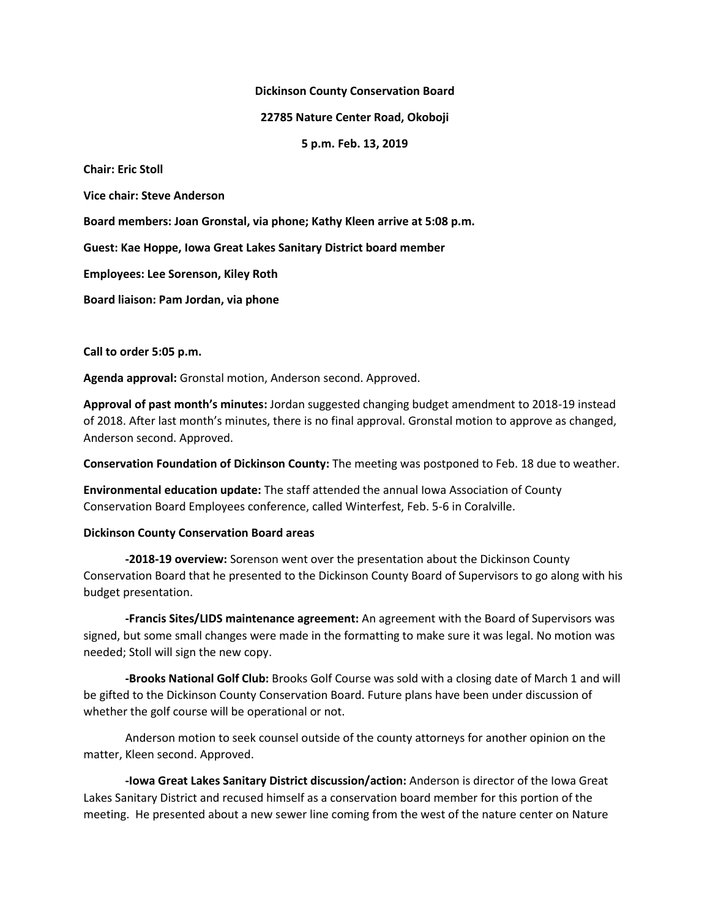#### **Dickinson County Conservation Board**

### **22785 Nature Center Road, Okoboji**

**5 p.m. Feb. 13, 2019**

**Chair: Eric Stoll**

**Vice chair: Steve Anderson**

**Board members: Joan Gronstal, via phone; Kathy Kleen arrive at 5:08 p.m.**

**Guest: Kae Hoppe, Iowa Great Lakes Sanitary District board member**

**Employees: Lee Sorenson, Kiley Roth**

**Board liaison: Pam Jordan, via phone**

**Call to order 5:05 p.m.**

**Agenda approval:** Gronstal motion, Anderson second. Approved.

**Approval of past month's minutes:** Jordan suggested changing budget amendment to 2018-19 instead of 2018. After last month's minutes, there is no final approval. Gronstal motion to approve as changed, Anderson second. Approved.

**Conservation Foundation of Dickinson County:** The meeting was postponed to Feb. 18 due to weather.

**Environmental education update:** The staff attended the annual Iowa Association of County Conservation Board Employees conference, called Winterfest, Feb. 5-6 in Coralville.

### **Dickinson County Conservation Board areas**

**-2018-19 overview:** Sorenson went over the presentation about the Dickinson County Conservation Board that he presented to the Dickinson County Board of Supervisors to go along with his budget presentation.

**-Francis Sites/LIDS maintenance agreement:** An agreement with the Board of Supervisors was signed, but some small changes were made in the formatting to make sure it was legal. No motion was needed; Stoll will sign the new copy.

**-Brooks National Golf Club:** Brooks Golf Course was sold with a closing date of March 1 and will be gifted to the Dickinson County Conservation Board. Future plans have been under discussion of whether the golf course will be operational or not.

Anderson motion to seek counsel outside of the county attorneys for another opinion on the matter, Kleen second. Approved.

**-Iowa Great Lakes Sanitary District discussion/action:** Anderson is director of the Iowa Great Lakes Sanitary District and recused himself as a conservation board member for this portion of the meeting. He presented about a new sewer line coming from the west of the nature center on Nature